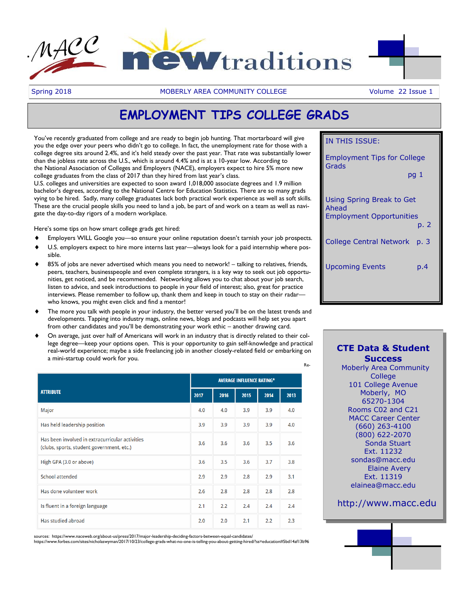



Spring 2018 **MOBERLY AREA COMMUNITY COLLEGE** Volume 22 Issue 1

# **EMPLOYMENT TIPS COLLEGE GRADS**

You've recently graduated from college and are ready to begin job hunting. That mortarboard will give you the edge over your peers who didn't go to college. In fact, the unemployment rate for those with a college degree sits around 2.4%, and it's held steady over the past year. That rate was substantially lower than the jobless rate across the U.S., which is around 4.4% and is at a 10-year low. According to the National Association of Colleges and Employers (NACE), employers expect to hire 5% more new college graduates from the class of 2017 than they hired from last year's class.

U.S. colleges and universities are expected to soon award 1,018,000 associate degrees and 1.9 million bachelor's degrees, according to the National Centre for Education Statistics. There are so many grads vying to be hired. Sadly, many college graduates lack both practical work experience as well as soft skills. These are the crucial people skills you need to land a job, be part of and work on a team as well as navigate the day-to-day rigors of a modern workplace.

Here's some tips on how smart college grads get hired:

- Employers WILL Google you—so ensure your online reputation doesn't tarnish your job prospects.
- U.S. employers expect to hire more interns last year—always look for a paid internship where possible.
- 85% of jobs are never advertised which means you need to network! talking to relatives, friends, peers, teachers, businesspeople and even complete strangers, is a key way to seek out job opportunities, get noticed, and be recommended. Networking allows you to chat about your job search, listen to advice, and seek introductions to people in your field of interest; also, great for practice interviews. Please remember to follow up, thank them and keep in touch to stay on their radar who knows, you might even click and find a mentor!
- The more you talk with people in your industry, the better versed you'll be on the latest trends and developments. Tapping into industry mags, online news, blogs and podcasts will help set you apart from other candidates and you'll be demonstrating your work ethic – another drawing card.
- On average, just over half of Americans will work in an industry that is directly related to their college degree—keep your options open. This is your opportunity to gain self-knowledge and practical real-world experience; maybe a side freelancing job in another closely-related field or embarking on a mini-startup could work for you.

|                                                                                              |      | <b>AVERAGE INFLUENCE RATING*</b> |      |      |      |  |
|----------------------------------------------------------------------------------------------|------|----------------------------------|------|------|------|--|
| <b>ATTRIBUTE</b>                                                                             | 2017 | 2016                             | 2015 | 2014 | 2013 |  |
| Major                                                                                        | 4.0  | 4.0                              | 3.9  | 3.9  | 4.0  |  |
| Has held leadership position                                                                 | 3.9  | 3.9                              | 3.9  | 3.9  | 4.0  |  |
| Has been involved in extracurricular activities<br>(clubs, sports, student government, etc.) | 3.6  | 3.6                              | 3.6  | 3.5  | 3.6  |  |
| High GPA (3.0 or above)                                                                      | 3.6  | 3.5                              | 3.6  | 3.7  | 3.8  |  |
| <b>School attended</b>                                                                       | 2.9  | 2.9                              | 2.8  | 2.9  | 3.1  |  |
| Has done volunteer work                                                                      | 2.6  | 2.8                              | 2.8  | 2.8  | 2.8  |  |
| Is fluent in a foreign language                                                              | 2.1  | 2.2                              | 2.4  | 2.4  | 2.4  |  |
| Has studied abroad                                                                           | 2.0  | 2.0                              | 2.1  | 2.2  | 2.3  |  |

sources: https://www.naceweb.org/about-us/press/2017/major-leadership-deciding-factors-between-equal-candidates/

https://www.forbes.com/sites/nicholaswyman/2017/10/23/college-grads-what-no-one-is-telling-you-about-getting-hired/?ss=education#5bd14af13b96

| IN THIS ISSUE:                                                                |                 |  |  |  |  |
|-------------------------------------------------------------------------------|-----------------|--|--|--|--|
| <b>Employment Tips for College</b>                                            |                 |  |  |  |  |
| Grads                                                                         | pq <sub>1</sub> |  |  |  |  |
| Using Spring Break to Get<br>Ahead<br><b>Employment Opportunities</b><br>p. 2 |                 |  |  |  |  |
| College Central Network p. 3                                                  |                 |  |  |  |  |
| <b>Upcoming Events</b>                                                        | p.4             |  |  |  |  |

# **CTE Data & Student Success**

Re-

 Moberly Area Community **College** 101 College Avenue Moberly, MO 65270-1304 Rooms C02 and C21 MACC Career Center (660) 263-4100 (800) 622-2070 Sonda Stuart Ext. 11232 sondas@macc.edu Elaine Avery Ext. 11319 elainea@macc.edu

# http://www.macc.edu

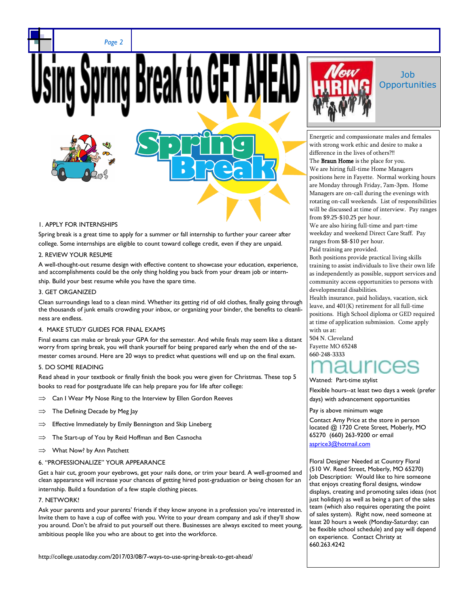*Page 2*





## 1. APPLY FOR INTERNSHIPS

Spring break is a great time to apply for a summer or fall internship to further your career after college. Some internships are eligible to count toward college credit, even if they are unpaid.

## 2. REVIEW YOUR RESUME

A well-thought-out resume design with effective content to showcase your education, experience, and accomplishments could be the only thing holding you back from your dream job or internship. Build your best resume while you have the spare time.

# 3. GET ORGANIZED

Clean surroundings lead to a clean mind. Whether its getting rid of old clothes, finally going through the thousands of junk emails crowding your inbox, or organizing your binder, the benefits to cleanliness are endless.

# 4. MAKE STUDY GUIDES FOR FINAL EXAMS

Final exams can make or break your GPA for the semester. And while finals may seem like a distant worry from spring break, you will thank yourself for being prepared early when the end of the semester comes around. Here are 20 ways to predict what questions will end up on the final exam.

# 5. DO SOME READING

Read ahead in your textbook or finally finish the book you were given for Christmas. These top 5 books to read for postgraduate life can help prepare you for life after college:

- $\implies$  Can I Wear My Nose Ring to the Interview by Ellen Gordon Reeves
- $\implies$  The Defining Decade by Meg Jay
- $\Rightarrow$  Effective Immediately by Emily Bennington and Skip Lineberg
- $\implies$  The Start-up of You by Reid Hoffman and Ben Casnocha
- $\implies$  What Now? by Ann Patchett

## 6. "PROFESSIONALIZE" YOUR APPEARANCE

Get a hair cut, groom your eyebrows, get your nails done, or trim your beard. A well-groomed and clean appearance will increase your chances of getting hired post-graduation or being chosen for an internship. Build a foundation of a few staple clothing pieces.

## 7. NETWORK!

Ask your parents and your parents' friends if they know anyone in a profession you're interested in. Invite them to have a cup of coffee with you. Write to your dream company and ask if they'll show you around. Don't be afraid to put yourself out there. Businesses are always excited to meet young, ambitious people like you who are about to get into the workforce.

http://college.usatoday.com/2017/03/08/7-ways-to-use-spring-break-to-get-ahead/



# Job **Opportunities**

Energetic and compassionate males and females with strong work ethic and desire to make a difference in the lives of others?!! The **Braun Home** is the place for you. We are hiring full-time Home Managers positions here in Fayette. Normal working hours are Monday through Friday, 7am-3pm. Home Managers are on-call during the evenings with rotating on-call weekends. List of responsibilities will be discussed at time of interview. Pay ranges from \$9.25-\$10.25 per hour.

We are also hiring full-time and part-time weekday and weekend Direct Care Staff. Pay ranges from \$8-\$10 per hour. Paid training are provided.

Both positions provide practical living skills training to assist individuals to live their own life as independently as possible, support services and community access opportunities to persons with developmental disabilities.

Health insurance, paid holidays, vacation, sick leave, and 401(K) retirement for all full-time positions. High School diploma or GED required at time of application submission. Come apply with us at:

504 N. Cleveland Fayette MO 65248 660-248-3333

## Watned: Part-time stylist

Flexible hours--at least two days a week (prefer days) with advancement opportunities

Pay is above minimum wage

Contact Amy Price at the store in person located @ 1720 Crete Street, Moberly, MO 65270 (660) 263-9200 or email [asprice3@hotmail.com](mailto:asprice3@hotmail.com)

Floral Designer Needed at Country Floral (510 W. Reed Street, Moberly, MO 65270) Job Description: Would like to hire someone that enjoys creating floral designs, window displays, creating and promoting sales ideas (not just holidays) as well as being a part of the sales team (which also requires operating the point of sales system). Right now, need someone at least 20 hours a week (Monday-Saturday; can be flexible school schedule) and pay will depend on experience. Contact Christy at 660.263.4242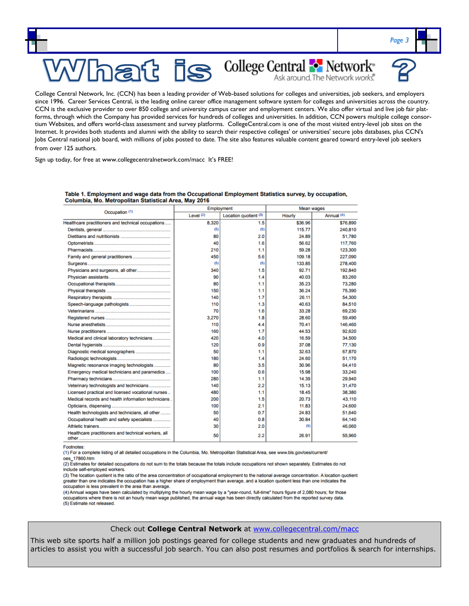

since 1996. Career Services Central, is the leading online career office management software system for colleges and universities across the country. CCN is the exclusive provider to over 850 college and university campus career and employment centers. We also offer virtual and live job fair platforms, through which the Company has provided services for hundreds of colleges and universities. In addition, CCN powers multiple college consortium Websites, and offers world-class assessment and survey platforms. CollegeCentral.com is one of the most visited entry-level job sites on the Internet. It provides both students and alumni with the ability to search their respective colleges' or universities' secure jobs databases, plus CCN's Jobs Central national job board, with millions of jobs posted to date. The site also features valuable content geared toward entry-level job seekers from over 125 authors.

Sign up today, for free at www.collegecentralnetwork.com/macc It's FREE!

|                                                     | Employment  |                       | Mean wages |            |  |
|-----------------------------------------------------|-------------|-----------------------|------------|------------|--|
| Occupation (1)                                      | Level $(2)$ | Location quotient (3) | Hourly     | Annual (4) |  |
| Healthcare practitioners and technical occupations  | 8.320       | 1.5                   | \$36.96    | \$76,890   |  |
|                                                     | (5)         | (5)                   | 115.77     | 240,810    |  |
|                                                     | 80          | 2.0                   | 24.89      | 51.780     |  |
|                                                     | 40          | 1.6                   | 56.62      | 117,760    |  |
|                                                     | 210         | 1.1                   | 59.28      | 123,300    |  |
|                                                     | 450         | 5.6                   | 109.18     | 227.090    |  |
|                                                     | (5)         | (5)                   | 133.85     | 278,400    |  |
|                                                     | 340         | 1.5                   | 92.71      | 192,840    |  |
|                                                     | 90          | 1.4                   | 40.03      | 83,260     |  |
|                                                     | 80          | 1.1                   | 35.23      | 73.280     |  |
|                                                     | 150         | 1.1                   | 36.24      | 75.390     |  |
|                                                     | 140         | 1.7                   | 26.11      | 54,300     |  |
|                                                     | 110         | 1.3                   | 40.63      | 84,510     |  |
|                                                     | 70          | 1.6                   | 33.28      | 69.230     |  |
|                                                     | 3.270       | 1.8                   | 28.60      | 59,490     |  |
|                                                     | 110         | 4.4                   | 70.41      | 146,460    |  |
|                                                     | 160         | 1.7                   | 44.53      | 92.620     |  |
| Medical and clinical laboratory technicians         | 420         | 4.0                   | 16.59      | 34,500     |  |
|                                                     | 120         | 0.9                   | 37.08      | 77,130     |  |
|                                                     | 50          | 1.1                   | 32.63      | 67.870     |  |
|                                                     | 180         | 1.4                   | 24.60      | 51.170     |  |
| Magnetic resonance imaging technologists            | 80          | 3.5                   | 30.96      | 64.410     |  |
| Emergency medical technicians and paramedics        | 100         | 0.6                   | 15.98      | 33.240     |  |
|                                                     | 280         | 1.1                   | 14.39      | 29,940     |  |
| Veterinary technologists and technicians            | 140         | 2.2                   | 15.13      | 31,470     |  |
| Licensed practical and licensed vocational nurses   | 480         | 1.1                   | 1845       | 38,380     |  |
| Medical records and health information technicians. | 200         | 1.5                   | 20.73      | 43,110     |  |
|                                                     | 100         | 2.1                   | 11.83      | 24,600     |  |
| Health technologists and technicians, all other     | 50          | 0.7                   | 24.83      | 51,640     |  |
| Occupational health and safety specialists          | 40          | 0.8                   | 30.84      | 64,140     |  |
|                                                     | 30          | 2.0                   | (5)        | 46,060     |  |
| Healthcare practitioners and technical workers, all | 50          | 2.2                   | 26.91      | 55,960     |  |

#### Table 1. Employment and wage data from the Occupational Employment Statistics survey, by occupation, Columbia, Mo. Metropolitan Statistical Area, May 2016

Footnotes:

(1) For a complete listing of all detailed occupations in the Columbia, Mo. Metropolitan Statistical Area, see www.bls.gov/oes/current/

oes 17860.htm

(2) Estimates for detailed occupations do not sum to the totals because the totals include occupations not shown separately. Estimates do not include self-employed workers.

(3) The location quotient is the ratio of the area concentration of occupational employment to the national average concentration. A location quotient greater than one indicates the occupation has a higher share of employment than average, and a location quotient less than one indicates the occupation is less prevalent in the area than average.

(4) Annual wages have been calculated by multiplying the hourly mean wage by a "year-round, full-time" hours figure of 2,080 hours; for those occupations where there is not an hourly mean wage published, the annual wage has been directly calculated from the reported survey data. (5) Estimate not released.

#### Check out **College Central Network** at [www.collegecentral.com/macc](http://www.collegecentral.com/macc)

This web site sports half a million job postings geared for college students and new graduates and hundreds of articles to assist you with a successful job search. You can also post resumes and portfolios & search for internships.